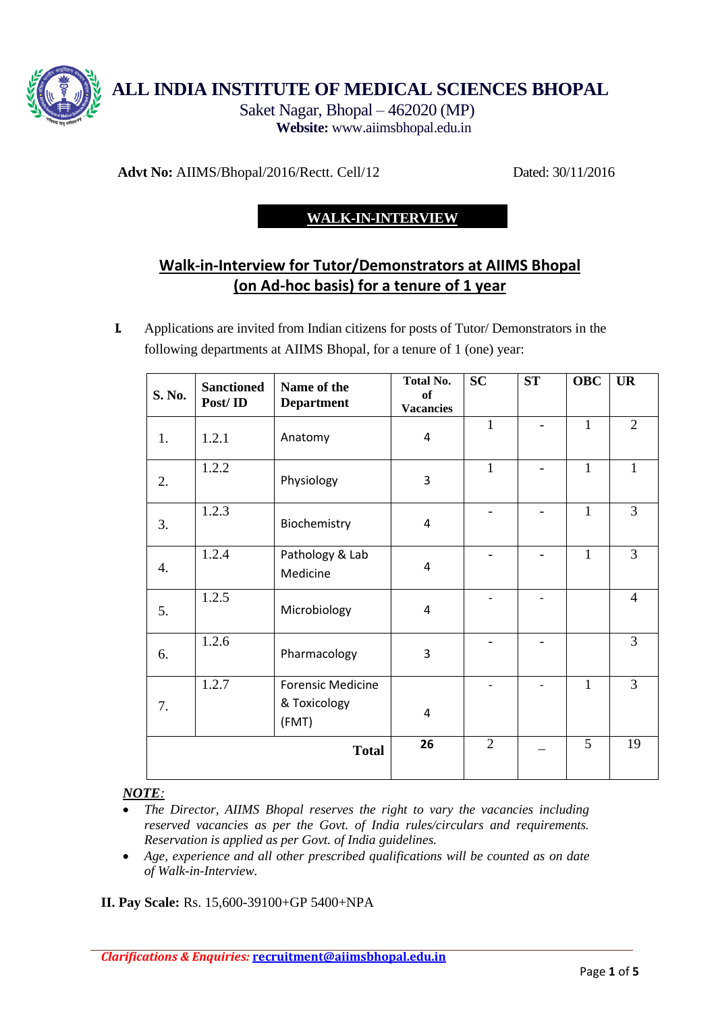

**ALL INDIA INSTITUTE OF MEDICAL SCIENCES BHOPAL** 

Saket Nagar, Bhopal – 462020 (MP) **Website:** [www.aiimsbhopal.edu.in](http://www.aiimsbhopal.edu.in/) 

**Advt No:** AIIMS/Bhopal/2016/Rectt. Cell/12 Dated: 30/11/2016

# **WALK-IN-INTERVIEW**

# **Walk-in-Interview for Tutor/Demonstrators at AIIMS Bhopal (on Ad-hoc basis) for a tenure of 1 year**

**I.** Applications are invited from Indian citizens for posts of Tutor/ Demonstrators in the following departments at AIIMS Bhopal, for a tenure of 1 (one) year:

| S. No.       | <b>Sanctioned</b><br>Post/ID | Name of the<br><b>Department</b>                  | <b>Total No.</b><br>of<br><b>Vacancies</b> | <b>SC</b>      | <b>ST</b> | <b>OBC</b>   | <b>UR</b>      |
|--------------|------------------------------|---------------------------------------------------|--------------------------------------------|----------------|-----------|--------------|----------------|
| 1.           | 1.2.1                        | Anatomy                                           | 4                                          | $\mathbf{1}$   |           | $\mathbf{1}$ | $\overline{2}$ |
| 2.           | 1.2.2                        | Physiology                                        | 3                                          | $\mathbf{1}$   |           | $\mathbf{1}$ | $\mathbf{1}$   |
| 3.           | 1.2.3                        | Biochemistry                                      | $\overline{4}$                             |                |           | $\mathbf{1}$ | 3              |
| 4.           | 1.2.4                        | Pathology & Lab<br>Medicine                       | 4                                          |                |           | $\mathbf{1}$ | 3              |
| 5.           | 1.2.5                        | Microbiology                                      | 4                                          |                |           |              | $\overline{4}$ |
| 6.           | 1.2.6                        | Pharmacology                                      | 3                                          |                |           |              | $\overline{3}$ |
| 7.           | 1.2.7                        | <b>Forensic Medicine</b><br>& Toxicology<br>(FMT) | 4                                          |                |           | $\mathbf{1}$ | $\overline{3}$ |
| <b>Total</b> |                              |                                                   | 26                                         | $\overline{2}$ |           | 5            | 19             |

#### *NOTE:*

- *The Director, AIIMS Bhopal reserves the right to vary the vacancies including reserved vacancies as per the Govt. of India rules/circulars and requirements. Reservation is applied as per Govt. of India guidelines.*
- *Age, experience and all other prescribed qualifications will be counted as on date of Walk-in-Interview.*

**II. Pay Scale:** Rs. 15,600-39100+GP 5400+NPA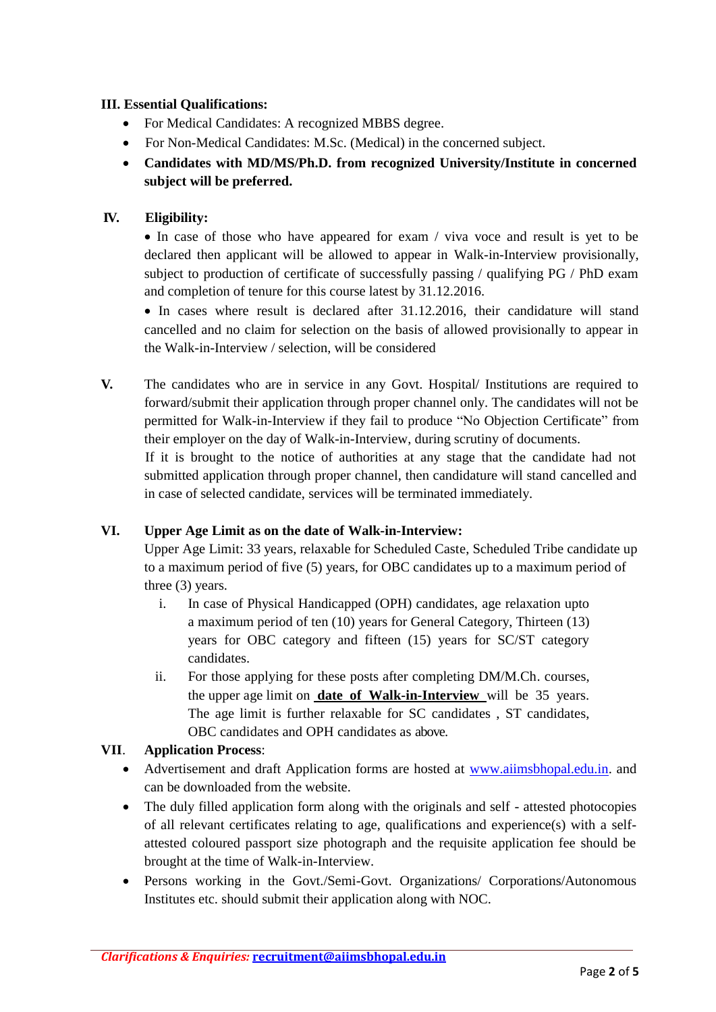#### **III. Essential Qualifications:**

- For Medical Candidates: A recognized MBBS degree.
- For Non-Medical Candidates: M.Sc. (Medical) in the concerned subject.
- **Candidates with MD/MS/Ph.D. from recognized University/Institute in concerned subject will be preferred.**

## **IV. Eligibility:**

 In case of those who have appeared for exam / viva voce and result is yet to be declared then applicant will be allowed to appear in Walk-in-Interview provisionally, subject to production of certificate of successfully passing / qualifying PG / PhD exam and completion of tenure for this course latest by 31.12.2016.

• In cases where result is declared after 31.12.2016, their candidature will stand cancelled and no claim for selection on the basis of allowed provisionally to appear in the Walk-in-Interview / selection, will be considered

**V.** The candidates who are in service in any Govt. Hospital/ Institutions are required to forward/submit their application through proper channel only. The candidates will not be permitted for Walk-in-Interview if they fail to produce "No Objection Certificate" from their employer on the day of Walk-in-Interview, during scrutiny of documents.

If it is brought to the notice of authorities at any stage that the candidate had not submitted application through proper channel, then candidature will stand cancelled and in case of selected candidate, services will be terminated immediately.

#### **VI. Upper Age Limit as on the date of Walk-in-Interview:**

Upper Age Limit: 33 years, relaxable for Scheduled Caste, Scheduled Tribe candidate up to a maximum period of five (5) years, for OBC candidates up to a maximum period of three (3) years.

- i. In case of Physical Handicapped (OPH) candidates, age relaxation upto a maximum period of ten (10) years for General Category, Thirteen (13) years for OBC category and fifteen (15) years for SC/ST category candidates.
- ii. For those applying for these posts after completing DM/M.Ch. courses, the upper age limit on **date of Walk-in-Interview** will be 35 years. The age limit is further relaxable for SC candidates , ST candidates, OBC candidates and OPH candidates as above.

#### **VII**. **Application Process**:

- Advertisement and draft Application forms are hosted at [www.aiimsbhopal.edu.in.](http://www.aiimsbhopal.edu.in/) and can be downloaded from the website.
- The duly filled application form along with the originals and self attested photocopies of all relevant certificates relating to age, qualifications and experience(s) with a selfattested coloured passport size photograph and the requisite application fee should be brought at the time of Walk-in-Interview.
- Persons working in the Govt./Semi-Govt. Organizations/ Corporations/Autonomous Institutes etc. should submit their application along with NOC.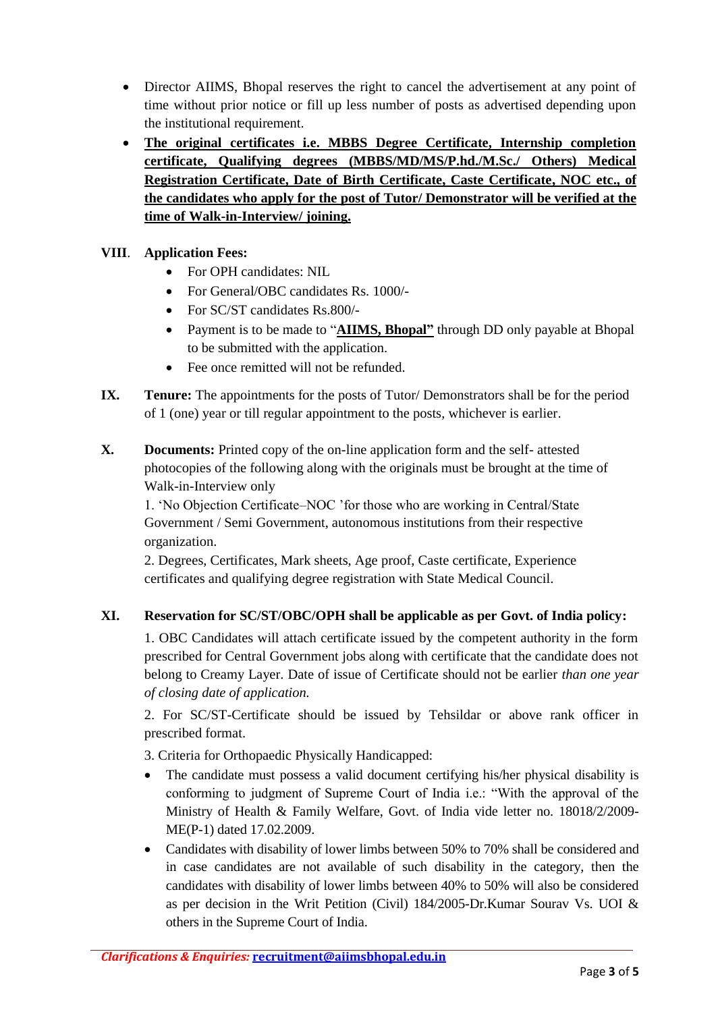- Director AIIMS, Bhopal reserves the right to cancel the advertisement at any point of time without prior notice or fill up less number of posts as advertised depending upon the institutional requirement.
- **The original certificates i.e. MBBS Degree Certificate, Internship completion certificate, Qualifying degrees (MBBS/MD/MS/P.hd./M.Sc./ Others) Medical Registration Certificate, Date of Birth Certificate, Caste Certificate, NOC etc., of the candidates who apply for the post of Tutor/ Demonstrator will be verified at the time of Walk-in-Interview/ joining.**

## **VIII**. **Application Fees:**

- For OPH candidates: NIL
- For General/OBC candidates Rs. 1000/-
- For SC/ST candidates Rs.800/-
- Payment is to be made to "**AIIMS, Bhopal"** through DD only payable at Bhopal to be submitted with the application.
- Fee once remitted will not be refunded.
- **IX.** Tenure: The appointments for the posts of Tutor/ Demonstrators shall be for the period of 1 (one) year or till regular appointment to the posts, whichever is earlier.
- **X. Documents:** Printed copy of the on-line application form and the self- attested photocopies of the following along with the originals must be brought at the time of Walk-in-Interview only

1. 'No Objection Certificate–NOC 'for those who are working in Central/State Government / Semi Government, autonomous institutions from their respective organization.

2. Degrees, Certificates, Mark sheets, Age proof, Caste certificate, Experience certificates and qualifying degree registration with State Medical Council.

#### **XI. Reservation for SC/ST/OBC/OPH shall be applicable as per Govt. of India policy:**

1. OBC Candidates will attach certificate issued by the competent authority in the form prescribed for Central Government jobs along with certificate that the candidate does not belong to Creamy Layer. Date of issue of Certificate should not be earlier *than one year of closing date of application.* 

2. For SC/ST-Certificate should be issued by Tehsildar or above rank officer in prescribed format.

3. Criteria for Orthopaedic Physically Handicapped:

- The candidate must possess a valid document certifying his/her physical disability is conforming to judgment of Supreme Court of India i.e.: "With the approval of the Ministry of Health & Family Welfare, Govt. of India vide letter no. 18018/2/2009- ME(P-1) dated 17.02.2009.
- Candidates with disability of lower limbs between 50% to 70% shall be considered and in case candidates are not available of such disability in the category, then the candidates with disability of lower limbs between 40% to 50% will also be considered as per decision in the Writ Petition (Civil) 184/2005-Dr.Kumar Sourav Vs. UOI & others in the Supreme Court of India.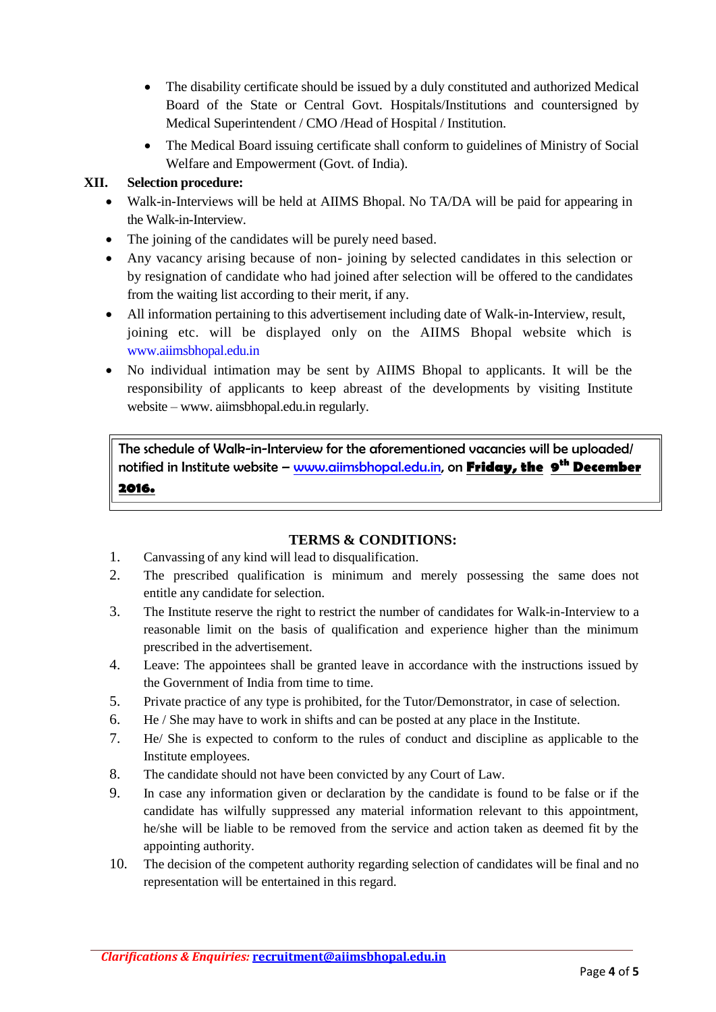- The disability certificate should be issued by a duly constituted and authorized Medical Board of the State or Central Govt. Hospitals/Institutions and countersigned by Medical Superintendent / CMO /Head of Hospital / Institution.
- The Medical Board issuing certificate shall conform to guidelines of Ministry of Social Welfare and Empowerment (Govt. of India).

#### **XII. Selection procedure:**

- Walk-in-Interviews will be held at AIIMS Bhopal. No TA/DA will be paid for appearing in the Walk-in-Interview.
- The joining of the candidates will be purely need based.
- Any vacancy arising because of non- joining by selected candidates in this selection or by resignation of candidate who had joined after selection will be offered to the candidates from the waiting list according to their merit, if any.
- All information pertaining to this advertisement including date of Walk-in-Interview, result, joining etc. will be displayed only on the AIIMS Bhopal website which is [www.aiimsbhopal.edu.in](http://www.aiimsbhopal.edu.in/)
- No individual intimation may be sent by AIIMS Bhopal to applicants. It will be the responsibility of applicants to keep abreast of the developments by visiting Institute website – www. aiimsbhopal.edu.in regularly.

The schedule of Walk-in-Interview for the aforementioned vacancies will be uploaded/ notified in Institute website – [www.aiimsbhopal.edu.in,](http://www.aiimsbhopal.edu.in/) on **Friday, the 9 th December 2016.**

#### **TERMS & CONDITIONS:**

- 1. Canvassing of any kind will lead to disqualification.
- 2. The prescribed qualification is minimum and merely possessing the same does not entitle any candidate for selection.
- 3. The Institute reserve the right to restrict the number of candidates for Walk-in-Interview to a reasonable limit on the basis of qualification and experience higher than the minimum prescribed in the advertisement.
- 4. Leave: The appointees shall be granted leave in accordance with the instructions issued by the Government of India from time to time.
- 5. Private practice of any type is prohibited, for the Tutor/Demonstrator, in case of selection.
- 6. He / She may have to work in shifts and can be posted at any place in the Institute.
- 7. He/ She is expected to conform to the rules of conduct and discipline as applicable to the Institute employees.
- 8. The candidate should not have been convicted by any Court of Law.
- 9. In case any information given or declaration by the candidate is found to be false or if the candidate has wilfully suppressed any material information relevant to this appointment, he/she will be liable to be removed from the service and action taken as deemed fit by the appointing authority.
- 10. The decision of the competent authority regarding selection of candidates will be final and no representation will be entertained in this regard.